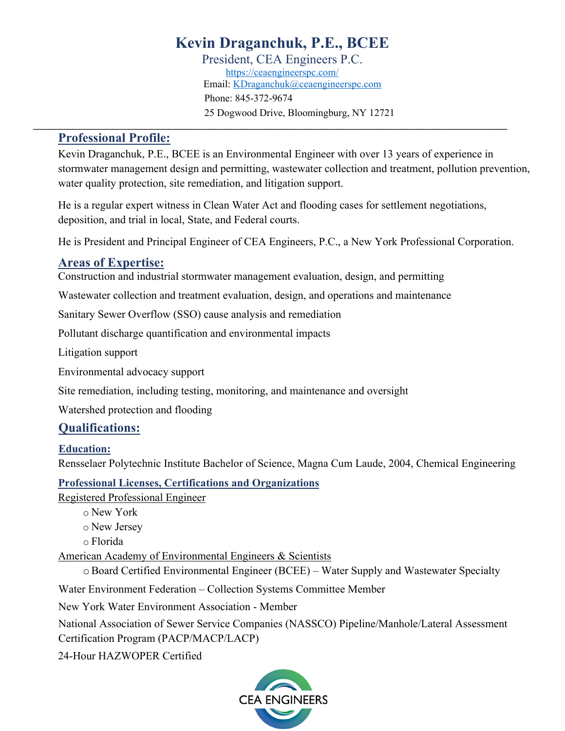President, CEA Engineers P.C. https://ceaengineerspc.com/ Email: KDraganchuk@ceaengineerspc.com Phone: 845-372-9674 25 Dogwood Drive, Bloomingburg, NY 12721

## **Professional Profile:**

Kevin Draganchuk, P.E., BCEE is an Environmental Engineer with over 13 years of experience in stormwater management design and permitting, wastewater collection and treatment, pollution prevention, water quality protection, site remediation, and litigation support.

He is a regular expert witness in Clean Water Act and flooding cases for settlement negotiations, deposition, and trial in local, State, and Federal courts.

He is President and Principal Engineer of CEA Engineers, P.C., a New York Professional Corporation.

## **Areas of Expertise:**

Construction and industrial stormwater management evaluation, design, and permitting

Wastewater collection and treatment evaluation, design, and operations and maintenance

Sanitary Sewer Overflow (SSO) cause analysis and remediation

Pollutant discharge quantification and environmental impacts

Litigation support

Environmental advocacy support

Site remediation, including testing, monitoring, and maintenance and oversight

Watershed protection and flooding

## **Qualifications:**

## **Education:**

Rensselaer Polytechnic Institute Bachelor of Science, Magna Cum Laude, 2004, Chemical Engineering

## **Professional Licenses, Certifications and Organizations**

Registered Professional Engineer

o New York

o New Jersey

o Florida

American Academy of Environmental Engineers & Scientists

oBoard Certified Environmental Engineer (BCEE) – Water Supply and Wastewater Specialty

Water Environment Federation – Collection Systems Committee Member

New York Water Environment Association - Member

National Association of Sewer Service Companies (NASSCO) Pipeline/Manhole/Lateral Assessment Certification Program (PACP/MACP/LACP)

24-Hour HAZWOPER Certified

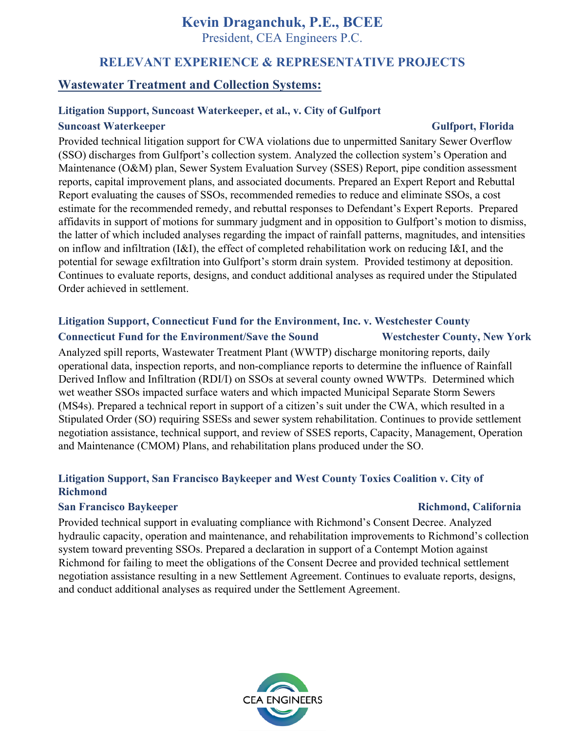President, CEA Engineers P.C.

## **RELEVANT EXPERIENCE & REPRESENTATIVE PROJECTS**

## **Wastewater Treatment and Collection Systems:**

### **Litigation Support, Suncoast Waterkeeper, et al., v. City of Gulfport**

### **Suncoast Waterkeeper Gulfport, Florida**

Provided technical litigation support for CWA violations due to unpermitted Sanitary Sewer Overflow (SSO) discharges from Gulfport's collection system. Analyzed the collection system's Operation and Maintenance (O&M) plan, Sewer System Evaluation Survey (SSES) Report, pipe condition assessment reports, capital improvement plans, and associated documents. Prepared an Expert Report and Rebuttal Report evaluating the causes of SSOs, recommended remedies to reduce and eliminate SSOs, a cost estimate for the recommended remedy, and rebuttal responses to Defendant's Expert Reports. Prepared affidavits in support of motions for summary judgment and in opposition to Gulfport's motion to dismiss, the latter of which included analyses regarding the impact of rainfall patterns, magnitudes, and intensities on inflow and infiltration (I&I), the effect of completed rehabilitation work on reducing I&I, and the potential for sewage exfiltration into Gulfport's storm drain system. Provided testimony at deposition. Continues to evaluate reports, designs, and conduct additional analyses as required under the Stipulated Order achieved in settlement.

## **Litigation Support, Connecticut Fund for the Environment, Inc. v. Westchester County Connecticut Fund for the Environment/Save the Sound Westchester County, New York**

Analyzed spill reports, Wastewater Treatment Plant (WWTP) discharge monitoring reports, daily operational data, inspection reports, and non-compliance reports to determine the influence of Rainfall Derived Inflow and Infiltration (RDI/I) on SSOs at several county owned WWTPs. Determined which wet weather SSOs impacted surface waters and which impacted Municipal Separate Storm Sewers (MS4s). Prepared a technical report in support of a citizen's suit under the CWA, which resulted in a Stipulated Order (SO) requiring SSESs and sewer system rehabilitation. Continues to provide settlement negotiation assistance, technical support, and review of SSES reports, Capacity, Management, Operation and Maintenance (CMOM) Plans, and rehabilitation plans produced under the SO.

## **Litigation Support, San Francisco Baykeeper and West County Toxics Coalition v. City of Richmond**

### **San Francisco Baykeeper Richmond, California Richmond, California**

Provided technical support in evaluating compliance with Richmond's Consent Decree. Analyzed hydraulic capacity, operation and maintenance, and rehabilitation improvements to Richmond's collection system toward preventing SSOs. Prepared a declaration in support of a Contempt Motion against Richmond for failing to meet the obligations of the Consent Decree and provided technical settlement negotiation assistance resulting in a new Settlement Agreement. Continues to evaluate reports, designs, and conduct additional analyses as required under the Settlement Agreement.

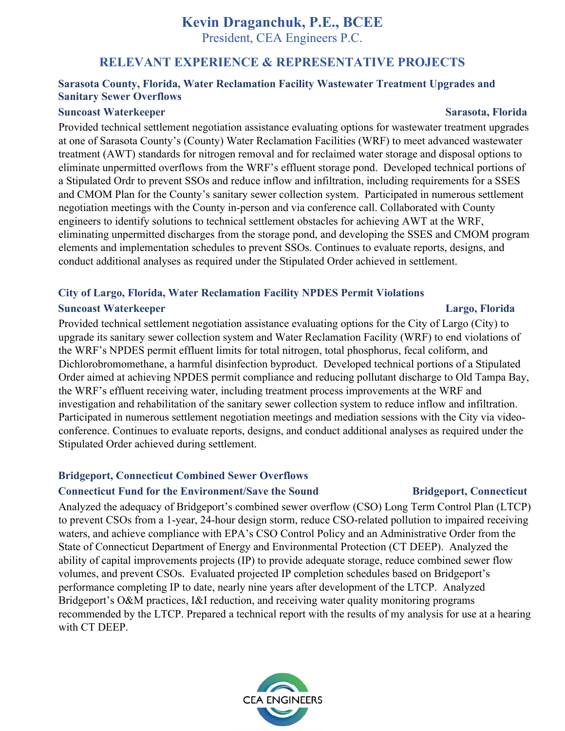President, CEA Engineers P.C.

## **RELEVANT EXPERIENCE & REPRESENTATIVE PROJECTS**

### **Sarasota County, Florida, Water Reclamation Facility Wastewater Treatment Upgrades and Sanitary Sewer Overflows**

### **Suncoast Waterkeeper Sarasota, Florida**

Provided technical settlement negotiation assistance evaluating options for wastewater treatment upgrades at one of Sarasota County's (County) Water Reclamation Facilities (WRF) to meet advanced wastewater treatment (AWT) standards for nitrogen removal and for reclaimed water storage and disposal options to eliminate unpermitted overflows from the WRF's effluent storage pond. Developed technical portions of a Stipulated Ordr to prevent SSOs and reduce inflow and infiltration, including requirements for a SSES and CMOM Plan for the County's sanitary sewer collection system. Participated in numerous settlement negotiation meetings with the County in-person and via conference call. Collaborated with County engineers to identify solutions to technical settlement obstacles for achieving AWT at the WRF, eliminating unpermitted discharges from the storage pond, and developing the SSES and CMOM program elements and implementation schedules to prevent SSOs. Continues to evaluate reports, designs, and conduct additional analyses as required under the Stipulated Order achieved in settlement.

### **City of Largo, Florida, Water Reclamation Facility NPDES Permit Violations**

### **Suncoast Waterkeeper Largo, Florida**

Provided technical settlement negotiation assistance evaluating options for the City of Largo (City) to upgrade its sanitary sewer collection system and Water Reclamation Facility (WRF) to end violations of the WRF's NPDES permit effluent limits for total nitrogen, total phosphorus, fecal coliform, and Dichlorobromomethane, a harmful disinfection byproduct. Developed technical portions of a Stipulated Order aimed at achieving NPDES permit compliance and reducing pollutant discharge to Old Tampa Bay, the WRF's effluent receiving water, including treatment process improvements at the WRF and investigation and rehabilitation of the sanitary sewer collection system to reduce inflow and infiltration. Participated in numerous settlement negotiation meetings and mediation sessions with the City via videoconference. Continues to evaluate reports, designs, and conduct additional analyses as required under the Stipulated Order achieved during settlement.

### **Bridgeport, Connecticut Combined Sewer Overflows**

### **Connecticut Fund for the Environment/Save the Sound Bridgeport, Connecticut**

Analyzed the adequacy of Bridgeport's combined sewer overflow (CSO) Long Term Control Plan (LTCP) to prevent CSOs from a 1-year, 24-hour design storm, reduce CSO-related pollution to impaired receiving waters, and achieve compliance with EPA's CSO Control Policy and an Administrative Order from the State of Connecticut Department of Energy and Environmental Protection (CT DEEP). Analyzed the ability of capital improvements projects (IP) to provide adequate storage, reduce combined sewer flow volumes, and prevent CSOs. Evaluated projected IP completion schedules based on Bridgeport's performance completing IP to date, nearly nine years after development of the LTCP. Analyzed Bridgeport's O&M practices, I&I reduction, and receiving water quality monitoring programs recommended by the LTCP. Prepared a technical report with the results of my analysis for use at a hearing with CT DEEP.

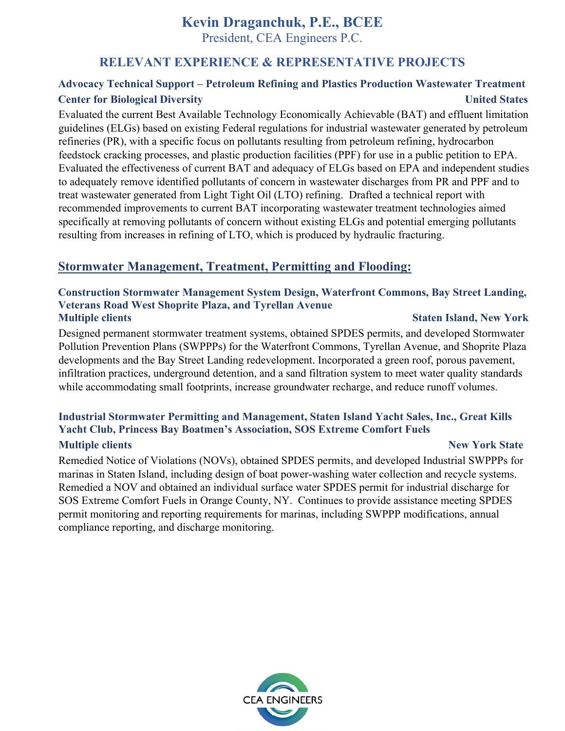President, CEA Engineers P.C.

## **RELEVANT EXPERIENCE & REPRESENTATIVE PROJECTS**

## **Advocacy Technical Support – Petroleum Refining and Plastics Production Wastewater Treatment Center for Biological Diversity United States**

Evaluated the current Best Available Technology Economically Achievable (BAT) and effluent limitation guidelines (ELGs) based on existing Federal regulations for industrial wastewater generated by petroleum refineries (PR), with a specific focus on pollutants resulting from petroleum refining, hydrocarbon feedstock cracking processes, and plastic production facilities (PPF) for use in a public petition to EPA. Evaluated the effectiveness of current BAT and adequacy of ELGs based on EPA and independent studies to adequately remove identified pollutants of concern in wastewater discharges from PR and PPF and to treat wastewater generated from Light Tight Oil (LTO) refining. Drafted a technical report with recommended improvements to current BAT incorporating wastewater treatment technologies aimed specifically at removing pollutants of concern without existing ELGs and potential emerging pollutants resulting from increases in refining of LTO, which is produced by hydraulic fracturing.

## **Stormwater Management, Treatment, Permitting and Flooding:**

### **Construction Stormwater Management System Design, Waterfront Commons, Bay Street Landing, Veterans Road West Shoprite Plaza, and Tyrellan Avenue Multiple clients** Staten Island, New York **Staten Island, New York**  $\overline{\phantom{S}}$

Designed permanent stormwater treatment systems, obtained SPDES permits, and developed Stormwater Pollution Prevention Plans (SWPPPs) for the Waterfront Commons, Tyrellan Avenue, and Shoprite Plaza developments and the Bay Street Landing redevelopment. Incorporated a green roof, porous pavement, infiltration practices, underground detention, and a sand filtration system to meet water quality standards while accommodating small footprints, increase groundwater recharge, and reduce runoff volumes.

### **Industrial Stormwater Permitting and Management, Staten Island Yacht Sales, Inc., Great Kills Yacht Club, Princess Bay Boatmen's Association, SOS Extreme Comfort Fuels Multiple clients** New York State **New York State**

Remedied Notice of Violations (NOVs), obtained SPDES permits, and developed Industrial SWPPPs for marinas in Staten Island, including design of boat power-washing water collection and recycle systems. Remedied a NOV and obtained an individual surface water SPDES permit for industrial discharge for SOS Extreme Comfort Fuels in Orange County, NY. Continues to provide assistance meeting SPDES permit monitoring and reporting requirements for marinas, including SWPPP modifications, annual compliance reporting, and discharge monitoring.

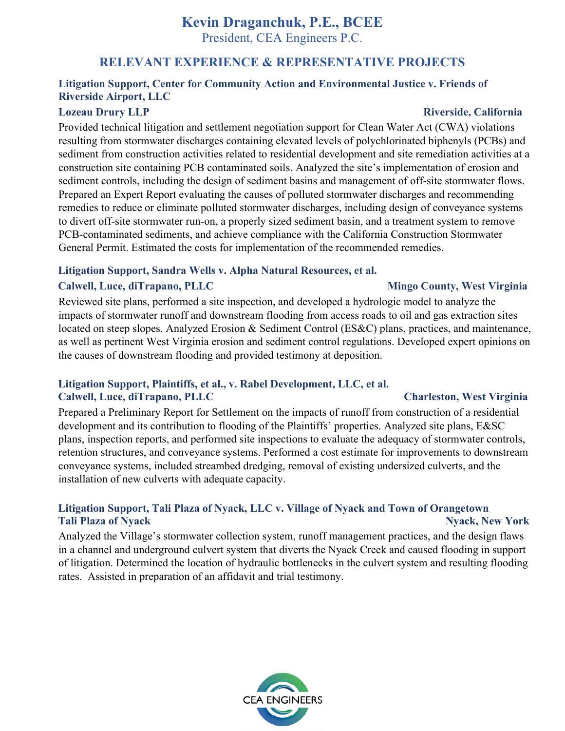President, CEA Engineers P.C.

## **RELEVANT EXPERIENCE & REPRESENTATIVE PROJECTS**

## **Litigation Support, Center for Community Action and Environmental Justice v. Friends of Riverside Airport, LLC**

Provided technical litigation and settlement negotiation support for Clean Water Act (CWA) violations resulting from stormwater discharges containing elevated levels of polychlorinated biphenyls (PCBs) and sediment from construction activities related to residential development and site remediation activities at a construction site containing PCB contaminated soils. Analyzed the site's implementation of erosion and sediment controls, including the design of sediment basins and management of off-site stormwater flows. Prepared an Expert Report evaluating the causes of polluted stormwater discharges and recommending remedies to reduce or eliminate polluted stormwater discharges, including design of conveyance systems to divert off-site stormwater run-on, a properly sized sediment basin, and a treatment system to remove PCB-contaminated sediments, and achieve compliance with the California Construction Stormwater General Permit. Estimated the costs for implementation of the recommended remedies.

### **Litigation Support, Sandra Wells v. Alpha Natural Resources, et al.**

## **Calwell, Luce, diTrapano, PLLC Mingo County, West Virginia**

Reviewed site plans, performed a site inspection, and developed a hydrologic model to analyze the impacts of stormwater runoff and downstream flooding from access roads to oil and gas extraction sites located on steep slopes. Analyzed Erosion & Sediment Control (ES&C) plans, practices, and maintenance, as well as pertinent West Virginia erosion and sediment control regulations. Developed expert opinions on the causes of downstream flooding and provided testimony at deposition.

### **Litigation Support, Plaintiffs, et al., v. Rabel Development, LLC, et al.**  Calwell, Luce, diTrapano, PLLC **Charleston, West Virginia**

Prepared a Preliminary Report for Settlement on the impacts of runoff from construction of a residential development and its contribution to flooding of the Plaintiffs' properties. Analyzed site plans, E&SC plans, inspection reports, and performed site inspections to evaluate the adequacy of stormwater controls, retention structures, and conveyance systems. Performed a cost estimate for improvements to downstream conveyance systems, included streambed dredging, removal of existing undersized culverts, and the installation of new culverts with adequate capacity.

## **Litigation Support, Tali Plaza of Nyack, LLC v. Village of Nyack and Town of Orangetown Tali Plaza of Nyack Nyack, New York**

Analyzed the Village's stormwater collection system, runoff management practices, and the design flaws in a channel and underground culvert system that diverts the Nyack Creek and caused flooding in support of litigation. Determined the location of hydraulic bottlenecks in the culvert system and resulting flooding rates. Assisted in preparation of an affidavit and trial testimony.



### **Lozeau Drury LLP Riverside, California**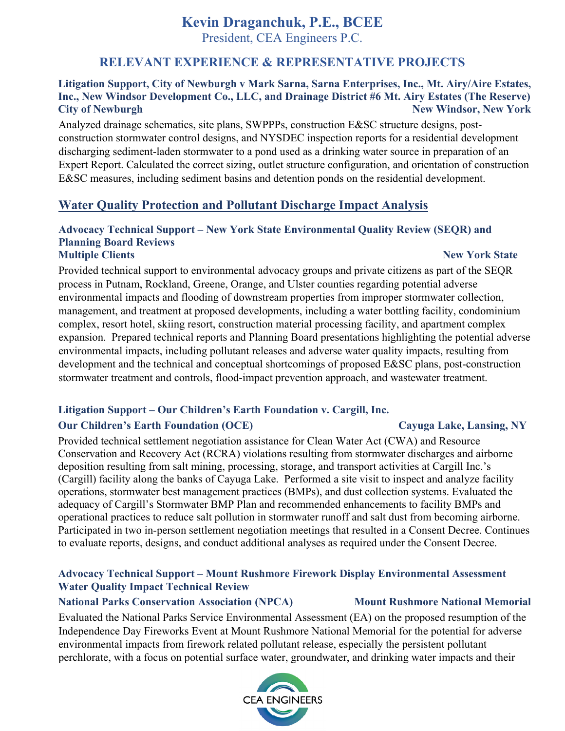President, CEA Engineers P.C.

## **RELEVANT EXPERIENCE & REPRESENTATIVE PROJECTS**

### **Litigation Support, City of Newburgh v Mark Sarna, Sarna Enterprises, Inc., Mt. Airy/Aire Estates, Inc., New Windsor Development Co., LLC, and Drainage District #6 Mt. Airy Estates (The Reserve) City of Newburgh New York 1988** New Windsor, New York **New York**

Analyzed drainage schematics, site plans, SWPPPs, construction E&SC structure designs, postconstruction stormwater control designs, and NYSDEC inspection reports for a residential development discharging sediment-laden stormwater to a pond used as a drinking water source in preparation of an Expert Report. Calculated the correct sizing, outlet structure configuration, and orientation of construction E&SC measures, including sediment basins and detention ponds on the residential development.

## **Water Quality Protection and Pollutant Discharge Impact Analysis**

### **Advocacy Technical Support – New York State Environmental Quality Review (SEQR) and Planning Board Reviews Multiple Clients** New York State

Provided technical support to environmental advocacy groups and private citizens as part of the SEQR process in Putnam, Rockland, Greene, Orange, and Ulster counties regarding potential adverse environmental impacts and flooding of downstream properties from improper stormwater collection, management, and treatment at proposed developments, including a water bottling facility, condominium complex, resort hotel, skiing resort, construction material processing facility, and apartment complex expansion. Prepared technical reports and Planning Board presentations highlighting the potential adverse environmental impacts, including pollutant releases and adverse water quality impacts, resulting from development and the technical and conceptual shortcomings of proposed E&SC plans, post-construction stormwater treatment and controls, flood-impact prevention approach, and wastewater treatment.

### **Litigation Support – Our Children's Earth Foundation v. Cargill, Inc.**

## **Our Children's Earth Foundation (OCE)** Cayuga Lake, Lansing, NY

Provided technical settlement negotiation assistance for Clean Water Act (CWA) and Resource Conservation and Recovery Act (RCRA) violations resulting from stormwater discharges and airborne deposition resulting from salt mining, processing, storage, and transport activities at Cargill Inc.'s (Cargill) facility along the banks of Cayuga Lake. Performed a site visit to inspect and analyze facility operations, stormwater best management practices (BMPs), and dust collection systems. Evaluated the adequacy of Cargill's Stormwater BMP Plan and recommended enhancements to facility BMPs and operational practices to reduce salt pollution in stormwater runoff and salt dust from becoming airborne. Participated in two in-person settlement negotiation meetings that resulted in a Consent Decree. Continues to evaluate reports, designs, and conduct additional analyses as required under the Consent Decree.

## **Advocacy Technical Support – Mount Rushmore Firework Display Environmental Assessment Water Quality Impact Technical Review**

### **National Parks Conservation Association (NPCA) Mount Rushmore National Memorial**

Evaluated the National Parks Service Environmental Assessment (EA) on the proposed resumption of the Independence Day Fireworks Event at Mount Rushmore National Memorial for the potential for adverse environmental impacts from firework related pollutant release, especially the persistent pollutant perchlorate, with a focus on potential surface water, groundwater, and drinking water impacts and their

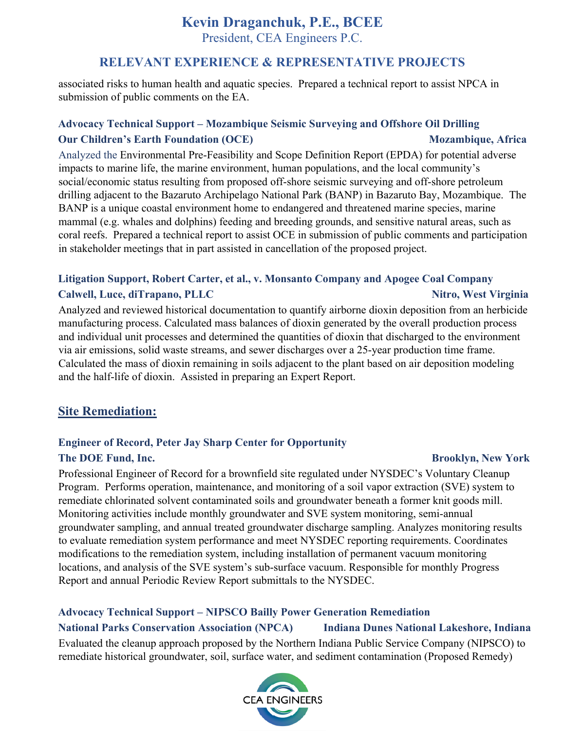President, CEA Engineers P.C.

## **RELEVANT EXPERIENCE & REPRESENTATIVE PROJECTS**

associated risks to human health and aquatic species. Prepared a technical report to assist NPCA in submission of public comments on the EA.

## **Advocacy Technical Support – Mozambique Seismic Surveying and Offshore Oil Drilling Our Children's Earth Foundation (OCE)** Mozambique, Africa **Mozambique, Africa**

Analyzed the Environmental Pre-Feasibility and Scope Definition Report (EPDA) for potential adverse impacts to marine life, the marine environment, human populations, and the local community's social/economic status resulting from proposed off-shore seismic surveying and off-shore petroleum drilling adjacent to the Bazaruto Archipelago National Park (BANP) in Bazaruto Bay, Mozambique. The BANP is a unique coastal environment home to endangered and threatened marine species, marine mammal (e.g. whales and dolphins) feeding and breeding grounds, and sensitive natural areas, such as coral reefs. Prepared a technical report to assist OCE in submission of public comments and participation in stakeholder meetings that in part assisted in cancellation of the proposed project.

## **Litigation Support, Robert Carter, et al., v. Monsanto Company and Apogee Coal Company Calwell, Luce, diTrapano, PLLC Nitro, West Virginia**

Analyzed and reviewed historical documentation to quantify airborne dioxin deposition from an herbicide manufacturing process. Calculated mass balances of dioxin generated by the overall production process and individual unit processes and determined the quantities of dioxin that discharged to the environment via air emissions, solid waste streams, and sewer discharges over a 25-year production time frame. Calculated the mass of dioxin remaining in soils adjacent to the plant based on air deposition modeling and the half-life of dioxin. Assisted in preparing an Expert Report.

## **Site Remediation:**

## **Engineer of Record, Peter Jay Sharp Center for Opportunity The DOE Fund, Inc. Brooklyn, New York**

Professional Engineer of Record for a brownfield site regulated under NYSDEC's Voluntary Cleanup Program. Performs operation, maintenance, and monitoring of a soil vapor extraction (SVE) system to remediate chlorinated solvent contaminated soils and groundwater beneath a former knit goods mill. Monitoring activities include monthly groundwater and SVE system monitoring, semi-annual groundwater sampling, and annual treated groundwater discharge sampling. Analyzes monitoring results to evaluate remediation system performance and meet NYSDEC reporting requirements. Coordinates modifications to the remediation system, including installation of permanent vacuum monitoring locations, and analysis of the SVE system's sub-surface vacuum. Responsible for monthly Progress Report and annual Periodic Review Report submittals to the NYSDEC.

### **Advocacy Technical Support – NIPSCO Bailly Power Generation Remediation National Parks Conservation Association (NPCA) Indiana Dunes National Lakeshore, Indiana**

Evaluated the cleanup approach proposed by the Northern Indiana Public Service Company (NIPSCO) to remediate historical groundwater, soil, surface water, and sediment contamination (Proposed Remedy)

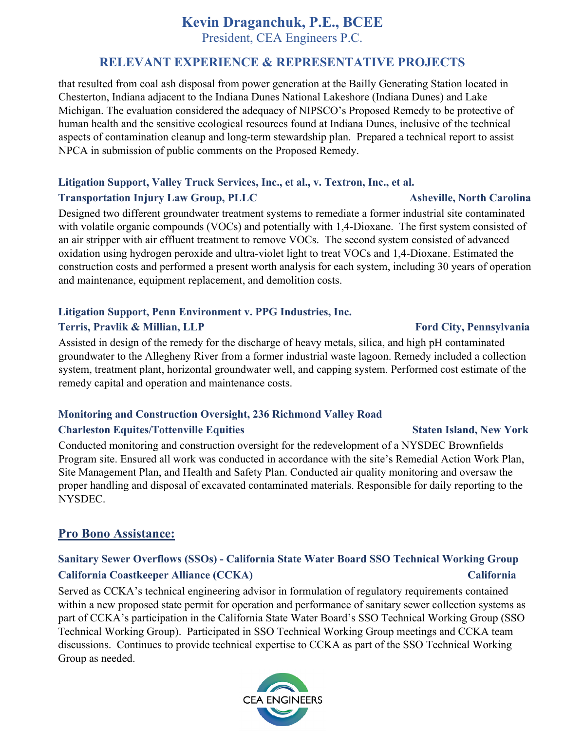President, CEA Engineers P.C.

## **RELEVANT EXPERIENCE & REPRESENTATIVE PROJECTS**

that resulted from coal ash disposal from power generation at the Bailly Generating Station located in Chesterton, Indiana adjacent to the Indiana Dunes National Lakeshore (Indiana Dunes) and Lake Michigan. The evaluation considered the adequacy of NIPSCO's Proposed Remedy to be protective of human health and the sensitive ecological resources found at Indiana Dunes, inclusive of the technical aspects of contamination cleanup and long-term stewardship plan. Prepared a technical report to assist NPCA in submission of public comments on the Proposed Remedy.

## **Litigation Support, Valley Truck Services, Inc., et al., v. Textron, Inc., et al. Transportation Injury Law Group, PLLC** Asheville, North Carolina

Designed two different groundwater treatment systems to remediate a former industrial site contaminated with volatile organic compounds (VOCs) and potentially with 1,4-Dioxane. The first system consisted of an air stripper with air effluent treatment to remove VOCs. The second system consisted of advanced oxidation using hydrogen peroxide and ultra-violet light to treat VOCs and 1,4-Dioxane. Estimated the construction costs and performed a present worth analysis for each system, including 30 years of operation and maintenance, equipment replacement, and demolition costs.

# **Litigation Support, Penn Environment v. PPG Industries, Inc.**

## **Terris, Pravlik & Millian, LLP** Ford City, Pennsylvania

Assisted in design of the remedy for the discharge of heavy metals, silica, and high pH contaminated groundwater to the Allegheny River from a former industrial waste lagoon. Remedy included a collection system, treatment plant, horizontal groundwater well, and capping system. Performed cost estimate of the remedy capital and operation and maintenance costs.

## **Monitoring and Construction Oversight, 236 Richmond Valley Road Charleston Equites/Tottenville Equities Staten Island, New York 3. Staten Island, New York 3. Staten Island, New York 3. Staten Island, New York 3. Staten Island, New York 3. Staten Island, New York 3. Staten Island, New**

Conducted monitoring and construction oversight for the redevelopment of a NYSDEC Brownfields Program site. Ensured all work was conducted in accordance with the site's Remedial Action Work Plan, Site Management Plan, and Health and Safety Plan. Conducted air quality monitoring and oversaw the proper handling and disposal of excavated contaminated materials. Responsible for daily reporting to the NYSDEC.

## **Pro Bono Assistance:**

## **Sanitary Sewer Overflows (SSOs) - California State Water Board SSO Technical Working Group California Coastkeeper Alliance (CCKA) California**

Served as CCKA's technical engineering advisor in formulation of regulatory requirements contained within a new proposed state permit for operation and performance of sanitary sewer collection systems as part of CCKA's participation in the California State Water Board's SSO Technical Working Group (SSO Technical Working Group). Participated in SSO Technical Working Group meetings and CCKA team discussions. Continues to provide technical expertise to CCKA as part of the SSO Technical Working Group as needed.